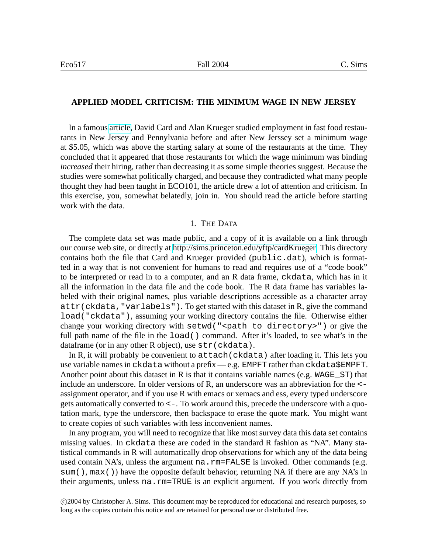## **APPLIED MODEL CRITICISM: THE MINIMUM WAGE IN NEW JERSEY**

In a famous [article,](http://sims.princeton.edu/yftp/cardKrueger/CardKruegerMinWage.pdf) David Card and Alan Krueger studied employment in fast food restaurants in New Jersey and Pennylvania before and after New Jerssey set a minimum wage at \$5.05, which was above the starting salary at some of the restaurants at the time. They concluded that it appeared that those restaurants for which the wage minimum was binding *increased* their hiring, rather than decreasing it as some simple theories suggest. Because the studies were somewhat politically charged, and because they contradicted what many people thought they had been taught in ECO101, the article drew a lot of attention and criticism. In this exercise, you, somewhat belatedly, join in. You should read the article before starting work with the data.

## 1. THE DATA

The complete data set was made public, and a copy of it is available on a link through our course web site, or directly at [http://sims.princeton.edu/yftp/cardKrueger.](http://sims.princeton.edu/yftp/cardKrueger) This directory contains both the file that Card and Krueger provided (public.dat), which is formatted in a way that is not convenient for humans to read and requires use of a "code book" to be interpreted or read in to a computer, and an R data frame, ckdata, which has in it all the information in the data file and the code book. The R data frame has variables labeled with their original names, plus variable descriptions accessible as a character array attr(ckdata,"varlabels"). To get started with this dataset in R, give the command load("ckdata"), assuming your working directory contains the file. Otherwise either change your working directory with  $setwd$  ("<path to directory>") or give the full path name of the file in the  $load()$  command. After it's loaded, to see what's in the dataframe (or in any other R object), use str (ckdata).

In R, it will probably be convenient to  ${\text{attach}}$  (ckdata) after loading it. This lets you use variable names in ckdata without a prefix — e.g. EMPFT rather than ckdata\$EMPFT. Another point about this dataset in R is that it contains variable names (e.g.  $WAGE$   $ST$ ) that include an underscore. In older versions of R, an underscore was an abbreviation for the  $\lt$ assignment operator, and if you use R with emacs or xemacs and ess, every typed underscore gets automatically converted to <-. To work around this, precede the underscore with a quotation mark, type the underscore, then backspace to erase the quote mark. You might want to create copies of such variables with less inconvenient names.

In any program, you will need to recognize that like most survey data this data set contains missing values. In ckdata these are coded in the standard R fashion as "NA". Many statistical commands in R will automatically drop observations for which any of the data being used contain NA's, unless the argument na.rm=FALSE is invoked. Other commands (e.g. sum(), max()) have the opposite default behavior, returning NA if there are any NA's in their arguments, unless na. $rm=TRUE$  is an explicit argument. If you work directly from

c 2004 by Christopher A. Sims. This document may be reproduced for educational and research purposes, so long as the copies contain this notice and are retained for personal use or distributed free.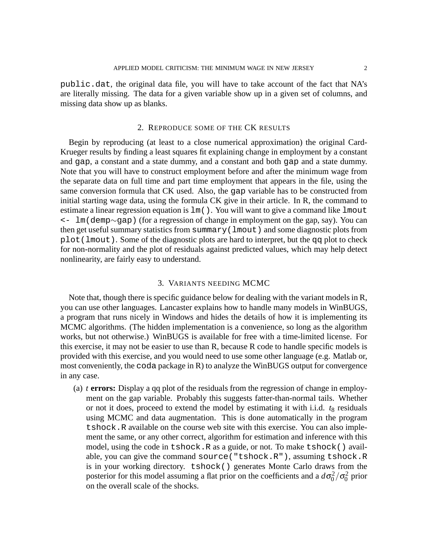public.dat, the original data file, you will have to take account of the fact that NA's are literally missing. The data for a given variable show up in a given set of columns, and missing data show up as blanks.

## 2. REPRODUCE SOME OF THE CK RESULTS

Begin by reproducing (at least to a close numerical approximation) the original Card-Krueger results by finding a least squares fit explaining change in employment by a constant and gap, a constant and a state dummy, and a constant and both gap and a state dummy. Note that you will have to construct employment before and after the minimum wage from the separate data on full time and part time employment that appears in the file, using the same conversion formula that CK used. Also, the gap variable has to be constructed from initial starting wage data, using the formula CK give in their article. In R, the command to estimate a linear regression equation is  $lm($ ). You will want to give a command like lmout <- lm(demp∼gap) (for a regression of change in employment on the gap, say). You can then get useful summary statistics from summary(lmout) and some diagnostic plots from  $p$ lot(lmout). Some of the diagnostic plots are hard to interpret, but the qq plot to check for non-normality and the plot of residuals against predicted values, which may help detect nonlinearity, are fairly easy to understand.

## 3. VARIANTS NEEDING MCMC

Note that, though there is specific guidance below for dealing with the variant models in R, you can use other languages. Lancaster explains how to handle many models in WinBUGS, a program that runs nicely in Windows and hides the details of how it is implementing its MCMC algorithms. (The hidden implementation is a convenience, so long as the algorithm works, but not otherwise.) WinBUGS is available for free with a time-limited license. For this exercise, it may not be easier to use than R, because R code to handle specific models is provided with this exercise, and you would need to use some other language (e.g. Matlab or, most conveniently, the coda package in R) to analyze the WinBUGS output for convergence in any case.

<span id="page-1-0"></span>(a) *t* **errors:** Display a qq plot of the residuals from the regression of change in employment on the gap variable. Probably this suggests fatter-than-normal tails. Whether or not it does, proceed to extend the model by estimating it with i.i.d.  $t_8$  residuals using MCMC and data augmentation. This is done automatically in the program tshock.R available on the course web site with this exercise. You can also implement the same, or any other correct, algorithm for estimation and inference with this model, using the code in tshock. R as a guide, or not. To make tshock () available, you can give the command source("tshock.R"), assuming tshock.R is in your working directory. tshock() generates Monte Carlo draws from the posterior for this model assuming a flat prior on the coefficients and a  $d\sigma_0^2/\sigma_0^2$  prior on the overall scale of the shocks.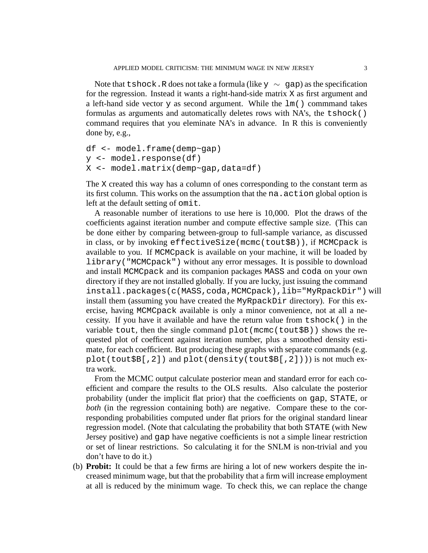Note that tshock.R does not take a formula (like  $y \sim$  gap) as the specification for the regression. Instead it wants a right-hand-side matrix X as first argument and a left-hand side vector  $y$  as second argument. While the  $lm()$  commmand takes formulas as arguments and automatically deletes rows with NA's, the tshock() command requires that you eleminate NA's in advance. In R this is conveniently done by, e.g.,

```
df <- model.frame(demp~gap)
y <- model.response(df)
X <- model.matrix(demp~gap,data=df)
```
The X created this way has a column of ones corresponding to the constant term as its first column. This works on the assumption that the na.action global option is left at the default setting of omit.

A reasonable number of iterations to use here is 10,000. Plot the draws of the coefficients against iteration number and compute effective sample size. (This can be done either by comparing between-group to full-sample variance, as discussed in class, or by invoking effectiveSize(mcmc(tout\$B)), if MCMCpack is available to you. If MCMCpack is available on your machine, it will be loaded by library("MCMCpack") without any error messages. It is possible to download and install MCMCpack and its companion packages MASS and coda on your own directory if they are not installed globally. If you are lucky, just issuing the command install.packages(c(MASS,coda,MCMCpack),lib="MyRpackDir") will install them (assuming you have created the MyRpackDir directory). For this exercise, having MCMCpack available is only a minor convenience, not at all a necessity. If you have it available and have the return value from tshock() in the variable tout, then the single command plot(mcmc(tout\$B)) shows the requested plot of coefficent against iteration number, plus a smoothed density estimate, for each coefficient. But producing these graphs with separate commands (e.g. plot(tout\$B[,2]) and plot(density(tout\$B[,2]))) is not much extra work.

From the MCMC output calculate posterior mean and standard error for each coefficient and compare the results to the OLS results. Also calculate the posterior probability (under the implicit flat prior) that the coefficients on gap, STATE, or *both* (in the regression containing both) are negative. Compare these to the corresponding probabilities computed under flat priors for the original standard linear regression model. (Note that calculating the probability that both STATE (with New Jersey positive) and gap have negative coefficients is not a simple linear restriction or set of linear restrictions. So calculating it for the SNLM is non-trivial and you don't have to do it.)

<span id="page-2-0"></span>(b) **Probit:** It could be that a few firms are hiring a lot of new workers despite the increased minimum wage, but that the probability that a firm will increase employment at all is reduced by the minimum wage. To check this, we can replace the change